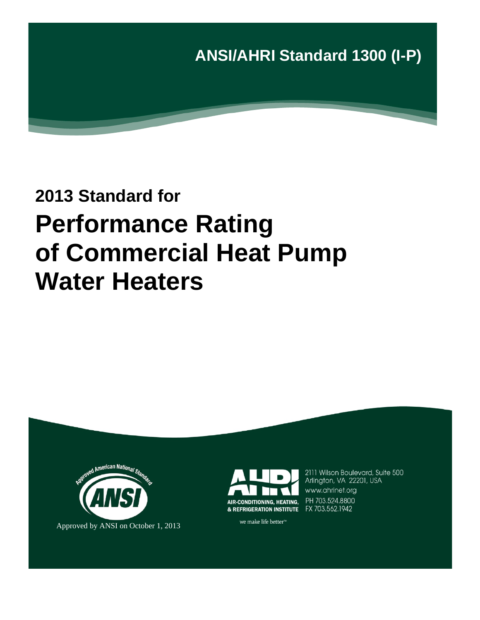

# **2013 Standard for Performance Rating of Commercial Heat Pump Water Heaters**





2111 Wilson Boulevard, Suite 500 Arlington, VA 22201, USA www.ahrinet.org PH 703.524.8800

we make life better<sup>™</sup>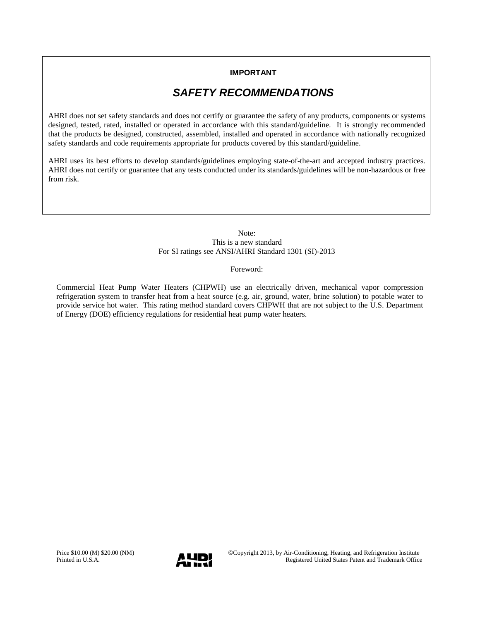#### **IMPORTANT**

# *SAFETY RECOMMENDATIONS*

AHRI does not set safety standards and does not certify or guarantee the safety of any products, components or systems designed, tested, rated, installed or operated in accordance with this standard/guideline. It is strongly recommended that the products be designed, constructed, assembled, installed and operated in accordance with nationally recognized safety standards and code requirements appropriate for products covered by this standard/guideline.

AHRI uses its best efforts to develop standards/guidelines employing state-of-the-art and accepted industry practices. AHRI does not certify or guarantee that any tests conducted under its standards/guidelines will be non-hazardous or free from risk.

> Note: This is a new standard For SI ratings see ANSI/AHRI Standard 1301 (SI)-2013

> > Foreword:

Commercial Heat Pump Water Heaters (CHPWH) use an electrically driven, mechanical vapor compression refrigeration system to transfer heat from a heat source (e.g. air, ground, water, brine solution) to potable water to provide service hot water. This rating method standard covers CHPWH that are not subject to the U.S. Department of Energy (DOE) efficiency regulations for residential heat pump water heaters.

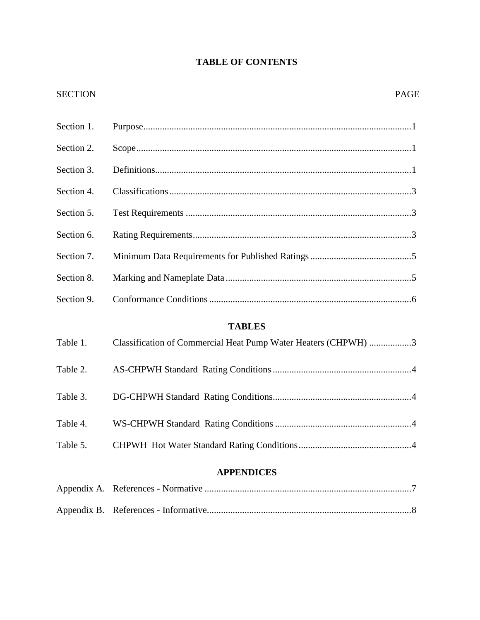# **TABLE OF CONTENTS**

### SECTION PAGE

| Section 1. |                                                                |
|------------|----------------------------------------------------------------|
| Section 2. |                                                                |
| Section 3. |                                                                |
| Section 4. |                                                                |
| Section 5. |                                                                |
| Section 6. |                                                                |
| Section 7. |                                                                |
| Section 8. |                                                                |
| Section 9. |                                                                |
|            | <b>TABLES</b>                                                  |
| Table 1.   | Classification of Commercial Heat Pump Water Heaters (CHPWH) 3 |
| Table 2.   |                                                                |
| Table 3.   |                                                                |
| Table 4.   |                                                                |
| Table 5.   |                                                                |
|            | <b>APPENDICES</b>                                              |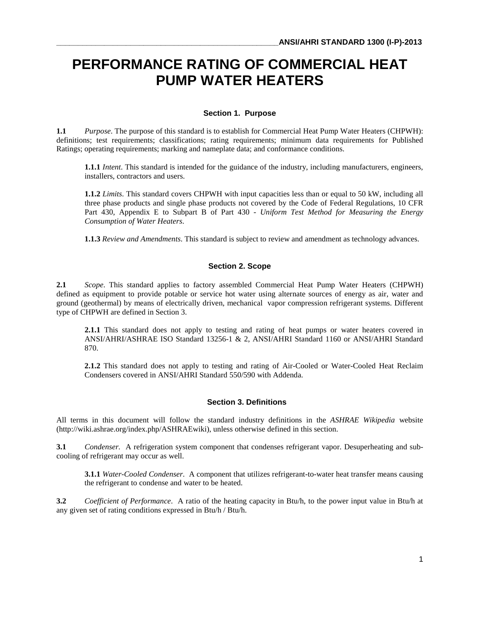# **PERFORMANCE RATING OF COMMERCIAL HEAT PUMP WATER HEATERS**

#### **Section 1. Purpose**

**1.1** *Purpose*. The purpose of this standard is to establish for Commercial Heat Pump Water Heaters (CHPWH): definitions; test requirements; classifications; rating requirements; minimum data requirements for Published Ratings; operating requirements; marking and nameplate data; and conformance conditions.

**1.1.1** *Intent*. This standard is intended for the guidance of the industry, including manufacturers, engineers, installers, contractors and users.

**1.1.2** *Limits*. This standard covers CHPWH with input capacities less than or equal to 50 kW, including all three phase products and single phase products not covered by the Code of Federal Regulations, 10 CFR Part 430, Appendix E to Subpart B of Part 430 - *Uniform Test Method for Measuring the Energy Consumption of Water Heaters*.

**1.1.3** *Review and Amendments*. This standard is subject to review and amendment as technology advances.

#### **Section 2. Scope**

**2.1** *Scope*. This standard applies to factory assembled Commercial Heat Pump Water Heaters (CHPWH) defined as equipment to provide potable or service hot water using alternate sources of energy as air, water and ground (geothermal) by means of electrically driven, mechanical vapor compression refrigerant systems. Different type of CHPWH are defined in Section 3.

**2.1.1** This standard does not apply to testing and rating of heat pumps or water heaters covered in ANSI/AHRI/ASHRAE ISO Standard 13256-1 & 2, ANSI/AHRI Standard 1160 or ANSI/AHRI Standard 870.

**2.1.2** This standard does not apply to testing and rating of Air-Cooled or Water-Cooled Heat Reclaim Condensers covered in ANSI/AHRI Standard 550/590 with Addenda.

#### **Section 3. Definitions**

All terms in this document will follow the standard industry definitions in the *ASHRAE Wikipedia* website (http://wiki.ashrae.org/index.php/ASHRAEwiki), unless otherwise defined in this section.

**3.1** *Condenser.* A refrigeration system component that condenses refrigerant vapor. Desuperheating and subcooling of refrigerant may occur as well.

**3.1.1** *Water-Cooled Condenser*. A component that utilizes refrigerant-to-water heat transfer means causing the refrigerant to condense and water to be heated.

**3.2** *Coefficient of Performance*. A ratio of the heating capacity in Btu/h, to the power input value in Btu/h at any given set of rating conditions expressed in Btu/h / Btu/h.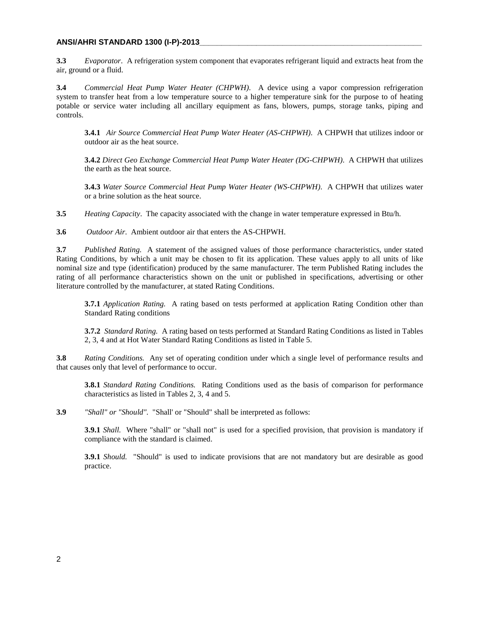#### **ANSI/AHRI STANDARD 1300 (I-P)-2013\_\_\_\_\_\_\_\_\_\_\_\_\_\_\_\_\_\_\_\_\_\_\_\_\_\_\_\_\_\_\_\_\_\_\_\_\_\_\_\_\_\_\_\_\_\_\_\_\_\_\_**

**3.3** *Evaporator*. A refrigeration system component that evaporates refrigerant liquid and extracts heat from the air, ground or a fluid.

**3.4** *Commercial Heat Pump Water Heater (CHPWH)*. A device using a vapor compression refrigeration system to transfer heat from a low temperature source to a higher temperature sink for the purpose to of heating potable or service water including all ancillary equipment as fans, blowers, pumps, storage tanks, piping and controls.

**3.4.1** *Air Source Commercial Heat Pump Water Heater (AS-CHPWH)*. A CHPWH that utilizes indoor or outdoor air as the heat source.

**3.4.2** *Direct Geo Exchange Commercial Heat Pump Water Heater (DG-CHPWH)*. A CHPWH that utilizes the earth as the heat source.

**3.4.3** *Water Source Commercial Heat Pump Water Heater (WS-CHPWH)*. A CHPWH that utilizes water or a brine solution as the heat source.

**3.5** *Heating Capacity*. The capacity associated with the change in water temperature expressed in Btu/h.

**3.6** *Outdoor Air*. Ambient outdoor air that enters the AS-CHPWH.

**3.7** *Published Rating.* A statement of the assigned values of those performance characteristics, under stated Rating Conditions, by which a unit may be chosen to fit its application. These values apply to all units of like nominal size and type (identification) produced by the same manufacturer. The term Published Rating includes the rating of all performance characteristics shown on the unit or published in specifications, advertising or other literature controlled by the manufacturer, at stated Rating Conditions.

**3.7.1** *Application Rating.* A rating based on tests performed at application Rating Condition other than Standard Rating conditions

**3.7.2** *Standard Rating.* A rating based on tests performed at Standard Rating Conditions as listed in Tables 2, 3, 4 and at Hot Water Standard Rating Conditions as listed in Table 5.

**3.8** *Rating Conditions.* Any set of operating condition under which a single level of performance results and that causes only that level of performance to occur.

**3.8.1** *Standard Rating Conditions.* Rating Conditions used as the basis of comparison for performance characteristics as listed in Tables 2, 3, 4 and 5.

**3.9** *"Shall" or "Should".* "Shall' or "Should" shall be interpreted as follows:

**3.9.1** *Shall.* Where "shall" or "shall not" is used for a specified provision, that provision is mandatory if compliance with the standard is claimed.

**3.9.1** *Should.* "Should" is used to indicate provisions that are not mandatory but are desirable as good practice.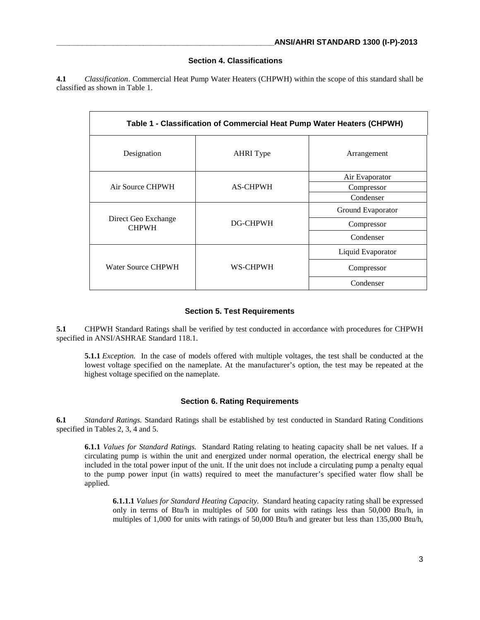#### **Section 4. Classifications**

**4.1** *Classification*. Commercial Heat Pump Water Heaters (CHPWH) within the scope of this standard shall be classified as shown in Table 1.

| Table 1 - Classification of Commercial Heat Pump Water Heaters (CHPWH) |                  |                   |  |  |  |
|------------------------------------------------------------------------|------------------|-------------------|--|--|--|
| Designation                                                            | <b>AHRI</b> Type | Arrangement       |  |  |  |
|                                                                        | <b>AS-CHPWH</b>  | Air Evaporator    |  |  |  |
| Air Source CHPWH                                                       |                  | Compressor        |  |  |  |
|                                                                        |                  | Condenser         |  |  |  |
|                                                                        | DG-CHPWH         | Ground Evaporator |  |  |  |
| Direct Geo Exchange<br><b>CHPWH</b>                                    |                  | Compressor        |  |  |  |
|                                                                        |                  | Condenser         |  |  |  |
|                                                                        | WS-CHPWH         | Liquid Evaporator |  |  |  |
| Water Source CHPWH                                                     |                  | Compressor        |  |  |  |
|                                                                        |                  | Condenser         |  |  |  |

#### **Section 5. Test Requirements**

**5.1** CHPWH Standard Ratings shall be verified by test conducted in accordance with procedures for CHPWH specified in ANSI/ASHRAE Standard 118.1.

**5.1.1** *Exception.* In the case of models offered with multiple voltages, the test shall be conducted at the lowest voltage specified on the nameplate. At the manufacturer's option, the test may be repeated at the highest voltage specified on the nameplate.

#### **Section 6. Rating Requirements**

**6.1** *Standard Ratings.* Standard Ratings shall be established by test conducted in Standard Rating Conditions specified in Tables 2, 3, 4 and 5.

**6.1.1** *Values for Standard Ratings.* Standard Rating relating to heating capacity shall be net values. If a circulating pump is within the unit and energized under normal operation, the electrical energy shall be included in the total power input of the unit. If the unit does not include a circulating pump a penalty equal to the pump power input (in watts) required to meet the manufacturer's specified water flow shall be applied.

**6.1.1.1** *Values for Standard Heating Capacity.* Standard heating capacity rating shall be expressed only in terms of Btu/h in multiples of 500 for units with ratings less than 50,000 Btu/h, in multiples of 1,000 for units with ratings of 50,000 Btu/h and greater but less than 135,000 Btu/h,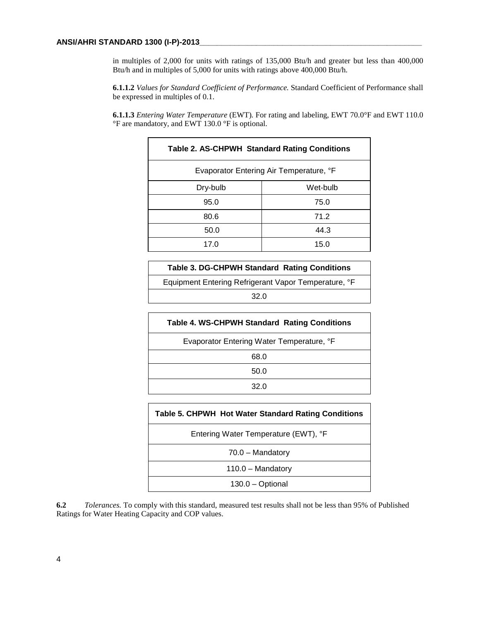in multiples of 2,000 for units with ratings of 135,000 Btu/h and greater but less than 400,000 Btu/h and in multiples of 5,000 for units with ratings above 400,000 Btu/h.

**6.1.1.2** *Values for Standard Coefficient of Performance.* Standard Coefficient of Performance shall be expressed in multiples of 0.1.

**6.1.1.3** *Entering Water Temperature* (EWT)*.* For rating and labeling, EWT 70.0°F and EWT 110.0 °F are mandatory, and EWT 130.0 °F is optional.

| <b>Table 2. AS-CHPWH Standard Rating Conditions</b> |  |  |  |  |
|-----------------------------------------------------|--|--|--|--|
| Evaporator Entering Air Temperature, °F             |  |  |  |  |
| Wet-bulb                                            |  |  |  |  |
| 75.0                                                |  |  |  |  |
| 71.2                                                |  |  |  |  |
| 44.3                                                |  |  |  |  |
| 15.0                                                |  |  |  |  |
|                                                     |  |  |  |  |

| Table 3. DG-CHPWH Standard Rating Conditions         |
|------------------------------------------------------|
| Equipment Entering Refrigerant Vapor Temperature, °F |
| 32.0                                                 |

| <b>Table 4. WS-CHPWH Standard Rating Conditions</b> |
|-----------------------------------------------------|
| Evaporator Entering Water Temperature, °F           |
| 68.0                                                |
| 50.0                                                |
| 32.0                                                |
|                                                     |

| Table 5. CHPWH Hot Water Standard Rating Conditions |
|-----------------------------------------------------|
| Entering Water Temperature (EWT), °F                |
| $70.0 -$ Mandatory                                  |
| $110.0 -$ Mandatory                                 |
| $130.0 - \text{Optional}$                           |

**6.2** *Tolerances.* To comply with this standard, measured test results shall not be less than 95% of Published Ratings for Water Heating Capacity and COP values.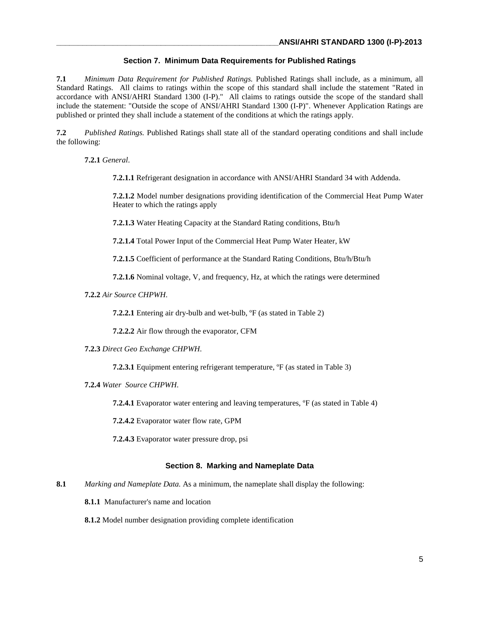#### **Section 7. Minimum Data Requirements for Published Ratings**

**7.1** *Minimum Data Requirement for Published Ratings.* Published Ratings shall include, as a minimum, all Standard Ratings. All claims to ratings within the scope of this standard shall include the statement "Rated in accordance with ANSI/AHRI Standard 1300 (I-P)." All claims to ratings outside the scope of the standard shall include the statement: "Outside the scope of ANSI/AHRI Standard 1300 (I-P)". Whenever Application Ratings are published or printed they shall include a statement of the conditions at which the ratings apply.

**7.2** *Published Ratings.* Published Ratings shall state all of the standard operating conditions and shall include the following:

**7.2.1** *General*.

**7.2.1.1** Refrigerant designation in accordance with ANSI/AHRI Standard 34 with Addenda.

**7.2.1.2** Model number designations providing identification of the Commercial Heat Pump Water Heater to which the ratings apply

**7.2.1.3** Water Heating Capacity at the Standard Rating conditions, Btu/h

**7.2.1.4** Total Power Input of the Commercial Heat Pump Water Heater, kW

**7.2.1.5** Coefficient of performance at the Standard Rating Conditions, Btu/h/Btu/h

**7.2.1.6** Nominal voltage, V, and frequency, Hz, at which the ratings were determined

**7.2.2** *Air Source CHPWH*.

**7.2.2.1** Entering air dry-bulb and wet-bulb,  ${}^{\circ}$ F (as stated in Table 2)

**7.2.2.2** Air flow through the evaporator, CFM

**7.2.3** *Direct Geo Exchange CHPWH*.

**7.2.3.1** Equipment entering refrigerant temperature, <sup>o</sup>F (as stated in Table 3)

**7.2.4** *Water Source CHPWH*.

**7.2.4.1** Evaporator water entering and leaving temperatures, <sup>o</sup>F (as stated in Table 4)

**7.2.4.2** Evaporator water flow rate, GPM

**7.2.4.3** Evaporator water pressure drop, psi

#### **Section 8. Marking and Nameplate Data**

**8.1** *Marking and Nameplate Data.* As a minimum, the nameplate shall display the following:

**8.1.1** Manufacturer's name and location

**8.1.2** Model number designation providing complete identification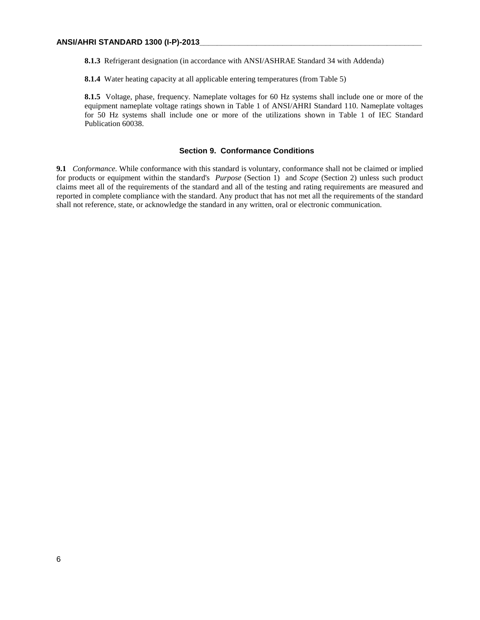**8.1.3** Refrigerant designation (in accordance with ANSI/ASHRAE Standard 34 with Addenda)

**8.1.4** Water heating capacity at all applicable entering temperatures (from Table 5)

**8.1.5** Voltage, phase, frequency. Nameplate voltages for 60 Hz systems shall include one or more of the equipment nameplate voltage ratings shown in Table 1 of ANSI/AHRI Standard 110. Nameplate voltages for 50 Hz systems shall include one or more of the utilizations shown in Table 1 of IEC Standard Publication 60038.

#### **Section 9. Conformance Conditions**

**9.1** *Conformance.* While conformance with this standard is voluntary, conformance shall not be claimed or implied for products or equipment within the standard's *Purpose* (Section 1) and *Scope* (Section 2) unless such product claims meet all of the requirements of the standard and all of the testing and rating requirements are measured and reported in complete compliance with the standard. Any product that has not met all the requirements of the standard shall not reference, state, or acknowledge the standard in any written, oral or electronic communication.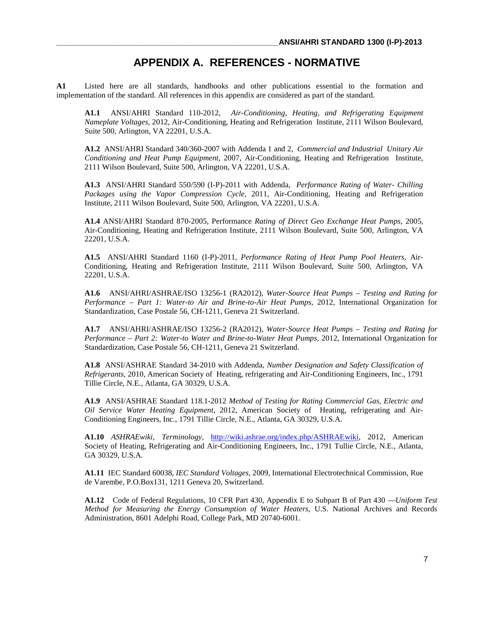## **APPENDIX A. REFERENCES - NORMATIVE**

**A1** Listed here are all standards, handbooks and other publications essential to the formation and implementation of the standard. All references in this appendix are considered as part of the standard.

**A1.1** ANSI/AHRI Standard 110-2012, *Air-Conditioning, Heating, and Refrigerating Equipment Nameplate Voltages,* 2012, Air-Conditioning, Heating and Refrigeration Institute, 2111 Wilson Boulevard, Suite 500, Arlington, VA 22201, U.S.A.

**A1.2** ANSI/AHRI Standard 340/360-2007 with Addenda 1 and 2, *Commercial and Industrial Unitary Air Conditioning and Heat Pump Equipment,* 2007, Air-Conditioning, Heating and Refrigeration Institute, 2111 Wilson Boulevard, Suite 500, Arlington, VA 22201, U.S.A.

**A1.3** ANSI/AHRI Standard 550/590 (I-P)-2011 with Addenda, *Performance Rating of Water- Chilling Packages using the Vapor Compression Cycle,* 2011, Air-Conditioning, Heating and Refrigeration Institute, 2111 Wilson Boulevard, Suite 500, Arlington, VA 22201, U.S.A.

**A1.4** ANSI/AHRI Standard 870-2005, Performance *Rating of Direct Geo Exchange Heat Pumps,* 2005, Air-Conditioning, Heating and Refrigeration Institute, 2111 Wilson Boulevard, Suite 500, Arlington, VA 22201, U.S.A.

**A1.5** ANSI/AHRI Standard 1160 (I-P)-2011, *Performance Rating of Heat Pump Pool Heaters,* Air-Conditioning, Heating and Refrigeration Institute, 2111 Wilson Boulevard, Suite 500, Arlington, VA 22201, U.S.A.

**A1.6** ANSI/AHRI/ASHRAE/ISO 13256-1 (RA2012), *Water-Source Heat Pumps – Testing and Rating for Performance – Part 1: Water-to Air and Brine-to-Air Heat Pumps,* 2012, International Organization for Standardization, Case Postale 56, CH-1211, Geneva 21 Switzerland.

**A1.7** ANSI/AHRI/ASHRAE/ISO 13256-2 (RA2012), *Water-Source Heat Pumps – Testing and Rating for Performance – Part 2: Water-to Water and Brine-to-Water Heat Pumps,* 2012, International Organization for Standardization, Case Postale 56, CH-1211, Geneva 21 Switzerland.

**A1.8** ANSI/ASHRAE Standard 34-2010 with Addenda, *Number Designation and Safety Classification of Refrigerants,* 2010, American Society of Heating, refrigerating and Air-Conditioning Engineers, Inc., 1791 Tillie Circle, N.E., Atlanta, GA 30329, U.S.A.

**A1.9** ANSI/ASHRAE Standard 118.1-2012 *Method of Testing for Rating Commercial Gas, Electric and Oil Service Water Heating Equipment,* 2012, American Society of Heating, refrigerating and Air-Conditioning Engineers, Inc., 1791 Tillie Circle, N.E., Atlanta, GA 30329, U.S.A.

**A1.10** *ASHRAEwiki, Terminology,* [http://wiki.ashrae.org/index.php/ASHRAEwiki,](http://wiki.ashrae.org/index.php/ASHRAEwiki) 2012, American Society of Heating, Refrigerating and Air-Conditioning Engineers, Inc., 1791 Tullie Circle, N.E., Atlanta, GA 30329, U.S.A.

**A1.11** IEC Standard 60038, *IEC Standard Voltages,* 2009, International Electrotechnical Commission, Rue de Varembe, P.O.Box131, 1211 Geneva 20, Switzerland.

**A1.12** Code of Federal Regulations, 10 CFR Part 430, Appendix E to Subpart B of Part 430 —*Uniform Test Method for Measuring the Energy Consumption of Water Heaters,* U.S. National Archives and Records Administration, 8601 Adelphi Road, College Park, MD 20740-6001.